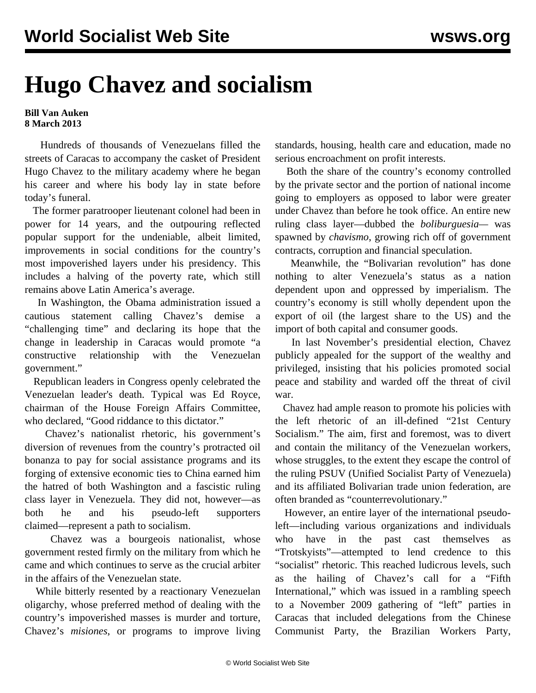## **Hugo Chavez and socialism**

## **Bill Van Auken 8 March 2013**

 Hundreds of thousands of Venezuelans filled the streets of Caracas to accompany the casket of President Hugo Chavez to the military academy where he began his career and where his body lay in state before today's funeral.

 The former paratrooper lieutenant colonel had been in power for 14 years, and the outpouring reflected popular support for the undeniable, albeit limited, improvements in social conditions for the country's most impoverished layers under his presidency. This includes a halving of the poverty rate, which still remains above Latin America's average.

 In Washington, the Obama administration issued a cautious statement calling Chavez's demise a "challenging time" and declaring its hope that the change in leadership in Caracas would promote "a constructive relationship with the Venezuelan government."

 Republican leaders in Congress openly celebrated the Venezuelan leader's death. Typical was Ed Royce, chairman of the House Foreign Affairs Committee, who declared, "Good riddance to this dictator."

 Chavez's nationalist rhetoric, his government's diversion of revenues from the country's protracted oil bonanza to pay for social assistance programs and its forging of extensive economic ties to China earned him the hatred of both Washington and a fascistic ruling class layer in Venezuela. They did not, however—as both he and his pseudo-left supporters claimed—represent a path to socialism.

 Chavez was a bourgeois nationalist, whose government rested firmly on the military from which he came and which continues to serve as the crucial arbiter in the affairs of the Venezuelan state.

 While bitterly resented by a reactionary Venezuelan oligarchy, whose preferred method of dealing with the country's impoverished masses is murder and torture, Chavez's *misiones*, or programs to improve living standards, housing, health care and education, made no serious encroachment on profit interests.

 Both the share of the country's economy controlled by the private sector and the portion of national income going to employers as opposed to labor were greater under Chavez than before he took office. An entire new ruling class layer—dubbed the *boliburguesia—* was spawned by *chavismo*, growing rich off of government contracts, corruption and financial speculation.

 Meanwhile, the "Bolivarian revolution" has done nothing to alter Venezuela's status as a nation dependent upon and oppressed by imperialism. The country's economy is still wholly dependent upon the export of oil (the largest share to the US) and the import of both capital and consumer goods.

 In last November's presidential election, Chavez publicly appealed for the support of the wealthy and privileged, insisting that his policies promoted social peace and stability and warded off the threat of civil war.

 Chavez had ample reason to promote his policies with the left rhetoric of an ill-defined "21st Century Socialism." The aim, first and foremost, was to divert and contain the militancy of the Venezuelan workers, whose struggles, to the extent they escape the control of the ruling PSUV (Unified Socialist Party of Venezuela) and its affiliated Bolivarian trade union federation, are often branded as "counterrevolutionary."

 However, an entire layer of the international pseudoleft—including various organizations and individuals who have in the past cast themselves as "Trotskyists"—attempted to lend credence to this "socialist" rhetoric. This reached ludicrous levels, such as the hailing of Chavez's call for a "Fifth International," which was issued in a rambling speech to a November 2009 gathering of "left" parties in Caracas that included delegations from the Chinese Communist Party, the Brazilian Workers Party,